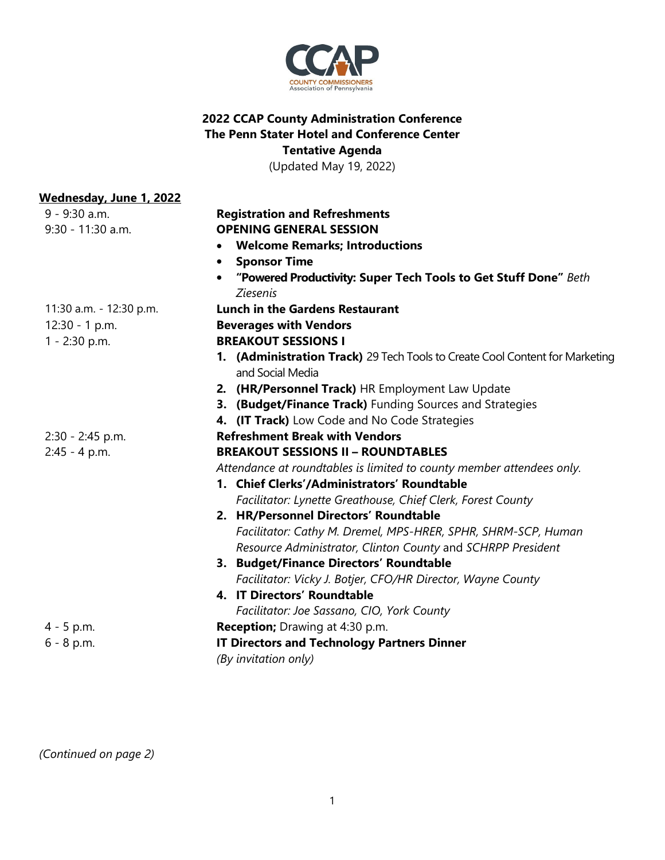

## **2022 CCAP County Administration Conference The Penn Stater Hotel and Conference Center Tentative Agenda**

(Updated May 19, 2022)

| <u>Wednesday, June 1, 2022</u> |                                                                                     |
|--------------------------------|-------------------------------------------------------------------------------------|
| 9 - 9:30 a.m.                  | <b>Registration and Refreshments</b>                                                |
| 9:30 - 11:30 a.m.              | <b>OPENING GENERAL SESSION</b>                                                      |
|                                | • Welcome Remarks; Introductions                                                    |
|                                | • Sponsor Time                                                                      |
|                                | "Powered Productivity: Super Tech Tools to Get Stuff Done" Beth                     |
|                                | <b>Ziesenis</b>                                                                     |
| 11:30 a.m. - 12:30 p.m.        | <b>Lunch in the Gardens Restaurant</b>                                              |
| $12:30 - 1 p.m.$               | <b>Beverages with Vendors</b>                                                       |
| $1 - 2:30$ p.m.                | <b>BREAKOUT SESSIONS I</b>                                                          |
|                                | <b>1. (Administration Track)</b> 29 Tech Tools to Create Cool Content for Marketing |
|                                | and Social Media                                                                    |
|                                | 2. (HR/Personnel Track) HR Employment Law Update                                    |
|                                | 3. (Budget/Finance Track) Funding Sources and Strategies                            |
|                                | 4. (IT Track) Low Code and No Code Strategies                                       |
| $2:30 - 2:45$ p.m.             | <b>Refreshment Break with Vendors</b>                                               |
| $2:45 - 4 p.m.$                | <b>BREAKOUT SESSIONS II - ROUNDTABLES</b>                                           |
|                                | Attendance at roundtables is limited to county member attendees only.               |
|                                | 1. Chief Clerks'/Administrators' Roundtable                                         |
|                                | Facilitator: Lynette Greathouse, Chief Clerk, Forest County                         |
|                                | 2. HR/Personnel Directors' Roundtable                                               |
|                                | Facilitator: Cathy M. Dremel, MPS-HRER, SPHR, SHRM-SCP, Human                       |
|                                | Resource Administrator, Clinton County and SCHRPP President                         |
|                                | 3. Budget/Finance Directors' Roundtable                                             |
|                                | Facilitator: Vicky J. Botjer, CFO/HR Director, Wayne County                         |
|                                | 4. IT Directors' Roundtable                                                         |
|                                | Facilitator: Joe Sassano, CIO, York County                                          |
| $4 - 5$ p.m.                   | <b>Reception;</b> Drawing at 4:30 p.m.                                              |
| $6 - 8$ p.m.                   | <b>IT Directors and Technology Partners Dinner</b>                                  |
|                                | (By invitation only)                                                                |

*(Continued on page 2)*